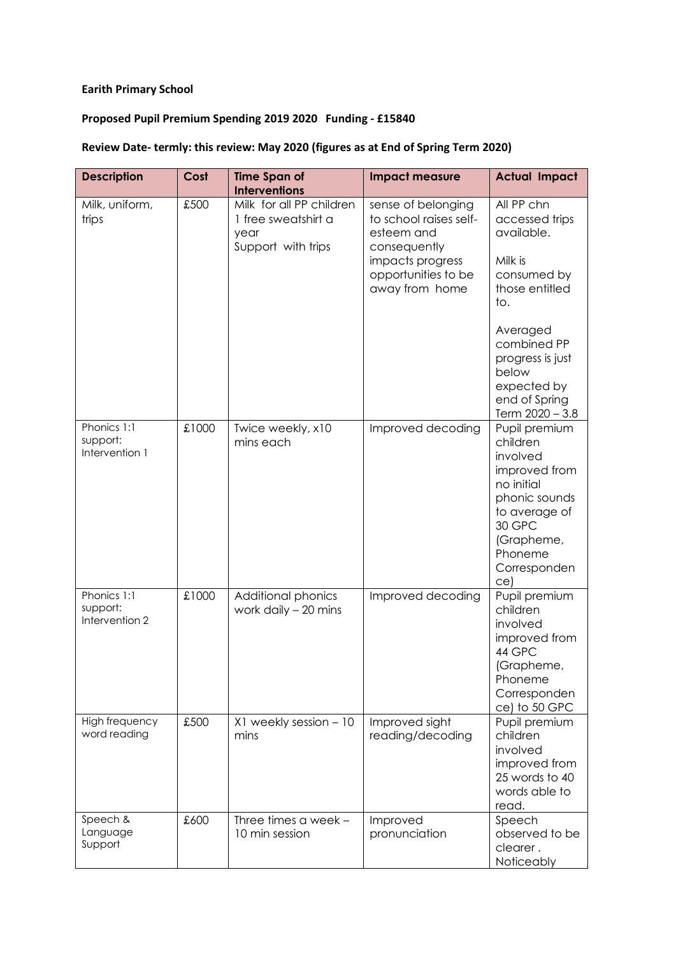## **Earith Primary School**

## **Proposed Pupil Premium Spending 2019 2020 Funding - £15840**

## **Review Date- termly: this review: May 2020 (figures as at End of Spring Term 2020)**

| <b>Description</b>                        | Cost  | <b>Time Span of</b>                                                           | <b>Impact measure</b>                                                                                                                   | <b>Actual Impact</b>                                                                                                                                                                                     |
|-------------------------------------------|-------|-------------------------------------------------------------------------------|-----------------------------------------------------------------------------------------------------------------------------------------|----------------------------------------------------------------------------------------------------------------------------------------------------------------------------------------------------------|
|                                           |       | <b>Interventions</b>                                                          |                                                                                                                                         |                                                                                                                                                                                                          |
| Milk, uniform,<br>trips                   | £500  | Milk for all PP children<br>1 free sweatshirt a<br>year<br>Support with trips | sense of belonging<br>to school raises self-<br>esteem and<br>consequently<br>impacts progress<br>opportunities to be<br>away from home | All PP chn<br>accessed trips<br>available.<br>Milk is<br>consumed by<br>those entitled<br>to.<br>Averaged<br>combined PP<br>progress is just<br>below<br>expected by<br>end of Spring<br>Term 2020 - 3.8 |
| Phonics 1:1<br>support:<br>Intervention 1 | £1000 | Twice weekly, x10<br>mins each                                                | Improved decoding                                                                                                                       | Pupil premium<br>children<br>involved<br>improved from<br>no initial<br>phonic sounds<br>to average of<br>30 GPC<br>(Grapheme,<br>Phoneme<br>Corresponden<br>ce)                                         |
| Phonics 1:1<br>support:<br>Intervention 2 | £1000 | Additional phonics<br>work daily $-20$ mins                                   | Improved decoding                                                                                                                       | Pupil premium<br>children<br>involved<br>improved from<br>44 GPC<br>(Grapheme,<br>Phoneme<br>Corresponden<br>ce) to 50 GPC                                                                               |
| High frequency<br>word reading            | £500  | X1 weekly session - 10<br>mins                                                | Improved sight<br>reading/decoding                                                                                                      | Pupil premium<br>children<br>involved<br>improved from<br>25 words to 40<br>words able to<br>read.                                                                                                       |
| Speech &<br>Language<br>Support           | £600  | Three times a week -<br>10 min session                                        | Improved<br>pronunciation                                                                                                               | Speech<br>observed to be<br>clearer.<br>Noticeably                                                                                                                                                       |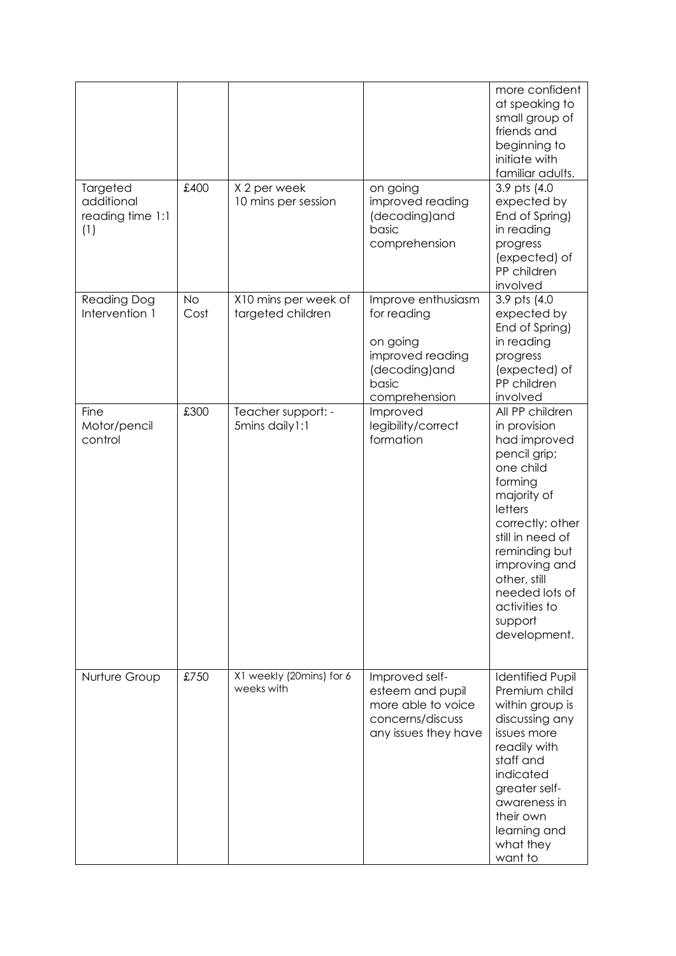|                                                   |                   |                                           |                                                                                                              | more confident<br>at speaking to<br>small group of<br>friends and<br>beginning to<br>initiate with<br>familiar adults.                                                                                                                                                    |
|---------------------------------------------------|-------------------|-------------------------------------------|--------------------------------------------------------------------------------------------------------------|---------------------------------------------------------------------------------------------------------------------------------------------------------------------------------------------------------------------------------------------------------------------------|
| Targeted<br>additional<br>reading time 1:1<br>(1) | £400              | X 2 per week<br>10 mins per session       | on going<br>improved reading<br>(decoding)and<br>basic<br>comprehension                                      | 3.9 pts (4.0)<br>expected by<br>End of Spring)<br>in reading<br>progress<br>(expected) of<br>PP children<br>involved                                                                                                                                                      |
| <b>Reading Dog</b><br>Intervention 1              | <b>No</b><br>Cost | X10 mins per week of<br>targeted children | Improve enthusiasm<br>for reading<br>on going<br>improved reading<br>(decoding)and<br>basic<br>comprehension | 3.9 pts (4.0<br>expected by<br>End of Spring)<br>in reading<br>progress<br>(expected) of<br>PP children<br>involved                                                                                                                                                       |
| Fine<br>Motor/pencil<br>control                   | £300              | Teacher support: -<br>5mins daily1:1      | Improved<br>legibility/correct<br>formation                                                                  | All PP children<br>in provision<br>had improved<br>pencil grip;<br>one child<br>forming<br>majority of<br>letters<br>correctly; other<br>still in need of<br>reminding but<br>improving and<br>other, still<br>needed lots of<br>activities to<br>support<br>development. |
| Nurture Group                                     | £750              | X1 weekly (20mins) for 6<br>weeks with    | Improved self-<br>esteem and pupil<br>more able to voice<br>concerns/discuss<br>any issues they have         | <b>Identified Pupil</b><br>Premium child<br>within group is<br>discussing any<br>issues more<br>readily with<br>staff and<br>indicated<br>greater self-<br>awareness in<br>their own<br>learning and<br>what they<br>want to                                              |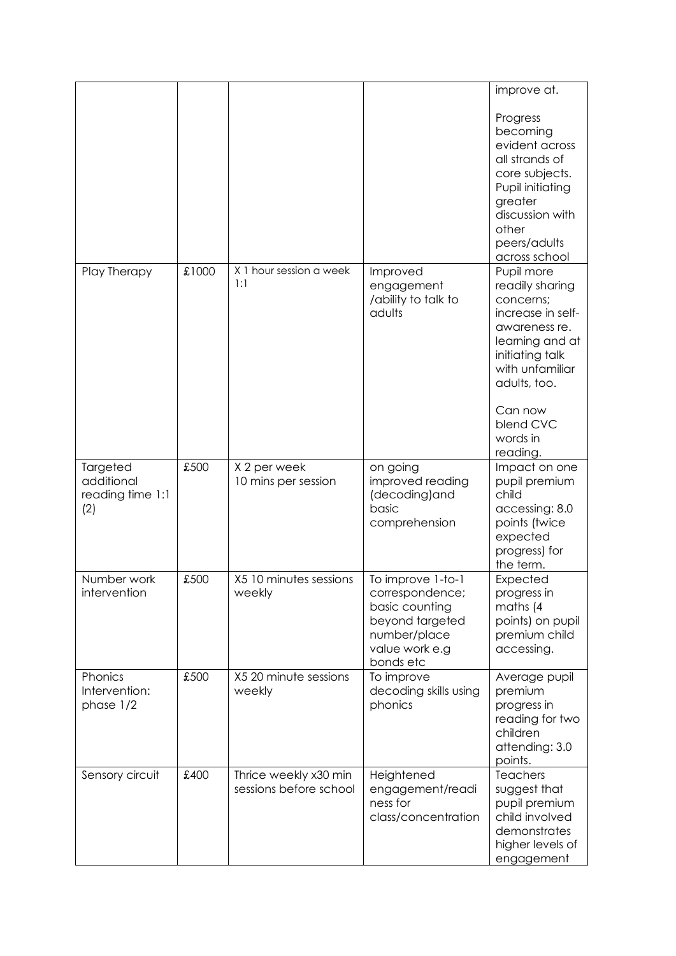|                                                   |       |                                                 |                                                                                                                          | improve at.                                                                                                                                                                                               |
|---------------------------------------------------|-------|-------------------------------------------------|--------------------------------------------------------------------------------------------------------------------------|-----------------------------------------------------------------------------------------------------------------------------------------------------------------------------------------------------------|
|                                                   |       |                                                 |                                                                                                                          | Progress<br>becoming<br>evident across<br>all strands of<br>core subjects.<br>Pupil initiating<br>greater<br>discussion with<br>other<br>peers/adults<br>across school                                    |
| Play Therapy                                      | £1000 | X 1 hour session a week<br>1:1                  | Improved<br>engagement<br>/ability to talk to<br>adults                                                                  | Pupil more<br>readily sharing<br>concerns;<br>increase in self-<br>awareness re.<br>learning and at<br>initiating talk<br>with unfamiliar<br>adults, too.<br>Can now<br>blend CVC<br>words in<br>reading. |
| Targeted<br>additional<br>reading time 1:1<br>(2) | £500  | X 2 per week<br>10 mins per session             | on going<br>improved reading<br>(decoding)and<br>basic<br>comprehension                                                  | Impact on one<br>pupil premium<br>child<br>accessing: 8.0<br>points (twice<br>expected<br>progress) for<br>the term.                                                                                      |
| Number work<br>intervention                       | £500  | X5 10 minutes sessions<br>weekly                | To improve 1-to-1<br>correspondence;<br>basic counting<br>beyond targeted<br>number/place<br>value work e.g<br>bonds etc | Expected<br>progress in<br>maths (4<br>points) on pupil<br>premium child<br>accessing.                                                                                                                    |
| Phonics<br>Intervention:<br>phase 1/2             | £500  | X5 20 minute sessions<br>weekly                 | To improve<br>decoding skills using<br>phonics                                                                           | Average pupil<br>premium<br>progress in<br>reading for two<br>children<br>attending: 3.0<br>points.                                                                                                       |
| Sensory circuit                                   | £400  | Thrice weekly x30 min<br>sessions before school | Heightened<br>engagement/readi<br>ness for<br>class/concentration                                                        | Teachers<br>suggest that<br>pupil premium<br>child involved<br>demonstrates<br>higher levels of<br>engagement                                                                                             |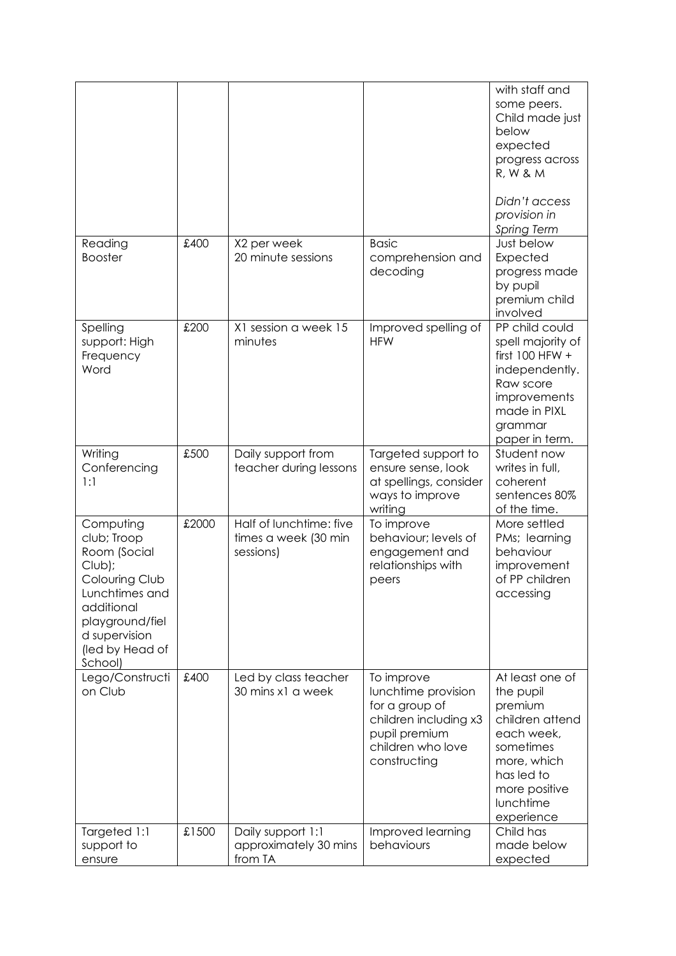|                                                                                                                                                                        |       |                                                              |                                                                                                                                    | with staff and<br>some peers.<br>Child made just<br>below<br>expected<br>progress across<br><b>R, W &amp; M</b><br>Didn't access<br>provision in<br><b>Spring Term</b> |
|------------------------------------------------------------------------------------------------------------------------------------------------------------------------|-------|--------------------------------------------------------------|------------------------------------------------------------------------------------------------------------------------------------|------------------------------------------------------------------------------------------------------------------------------------------------------------------------|
| Reading<br><b>Booster</b>                                                                                                                                              | £400  | X2 per week<br>20 minute sessions                            | <b>Basic</b><br>comprehension and<br>decoding                                                                                      | Just below<br>Expected<br>progress made<br>by pupil<br>premium child<br>involved                                                                                       |
| Spelling<br>support: High<br>Frequency<br>Word                                                                                                                         | £200  | X1 session a week 15<br>minutes                              | Improved spelling of<br><b>HFW</b>                                                                                                 | PP child could<br>spell majority of<br>first $100$ HFW +<br>independently.<br>Raw score<br>improvements<br>made in PIXL<br>grammar<br>paper in term.                   |
| Writing<br>Conferencing<br>1:1                                                                                                                                         | £500  | Daily support from<br>teacher during lessons                 | Targeted support to<br>ensure sense, look<br>at spellings, consider<br>ways to improve<br>writing                                  | Student now<br>writes in full,<br>coherent<br>sentences 80%<br>of the time.                                                                                            |
| Computing<br>club; Troop<br>Room (Social<br>Club);<br>Colouring Club<br>Lunchtimes and<br>additional<br>playground/fiel<br>d supervision<br>(led by Head of<br>School) | £2000 | Half of lunchtime: five<br>times a week (30 min<br>sessions) | To improve<br>behaviour; levels of<br>engagement and<br>relationships with<br>peers                                                | More settled<br>PMs; learning<br>behaviour<br>improvement<br>of PP children<br>accessing                                                                               |
| Lego/Constructi<br>on Club                                                                                                                                             | £400  | Led by class teacher<br>30 mins x1 a week                    | To improve<br>lunchtime provision<br>for a group of<br>children including x3<br>pupil premium<br>children who love<br>constructing | At least one of<br>the pupil<br>premium<br>children attend<br>each week,<br>sometimes<br>more, which<br>has led to<br>more positive<br>lunchtime<br>experience         |
| Targeted 1:1<br>support to<br>ensure                                                                                                                                   | £1500 | Daily support 1:1<br>approximately 30 mins<br>from TA        | Improved learning<br>behaviours                                                                                                    | Child has<br>made below<br>expected                                                                                                                                    |